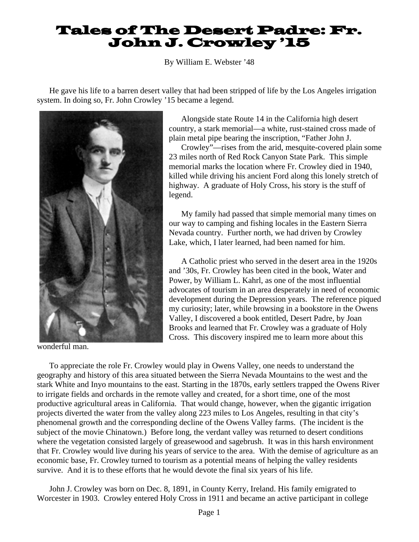## Tales of The Desert Padre: Fr. John J. Crowley '15

By William E. Webster '48

He gave his life to a barren desert valley that had been stripped of life by the Los Angeles irrigation system. In doing so, Fr. John Crowley '15 became a legend.



wonderful man.

Alongside state Route 14 in the California high desert country, a stark memorial—a white, rust-stained cross made of plain metal pipe bearing the inscription, "Father John J.

Crowley"—rises from the arid, mesquite-covered plain some 23 miles north of Red Rock Canyon State Park. This simple memorial marks the location where Fr. Crowley died in 1940, killed while driving his ancient Ford along this lonely stretch of highway. A graduate of Holy Cross, his story is the stuff of legend.

My family had passed that simple memorial many times on our way to camping and fishing locales in the Eastern Sierra Nevada country. Further north, we had driven by Crowley Lake, which, I later learned, had been named for him.

A Catholic priest who served in the desert area in the 1920s and '30s, Fr. Crowley has been cited in the book, Water and Power, by William L. Kahrl, as one of the most influential advocates of tourism in an area desperately in need of economic development during the Depression years. The reference piqued my curiosity; later, while browsing in a bookstore in the Owens Valley, I discovered a book entitled, Desert Padre, by Joan Brooks and learned that Fr. Crowley was a graduate of Holy Cross. This discovery inspired me to learn more about this

To appreciate the role Fr. Crowley would play in Owens Valley, one needs to understand the geography and history of this area situated between the Sierra Nevada Mountains to the west and the stark White and Inyo mountains to the east. Starting in the 1870s, early settlers trapped the Owens River to irrigate fields and orchards in the remote valley and created, for a short time, one of the most productive agricultural areas in California. That would change, however, when the gigantic irrigation projects diverted the water from the valley along 223 miles to Los Angeles, resulting in that city's phenomenal growth and the corresponding decline of the Owens Valley farms. (The incident is the subject of the movie Chinatown.) Before long, the verdant valley was returned to desert conditions where the vegetation consisted largely of greasewood and sagebrush. It was in this harsh environment that Fr. Crowley would live during his years of service to the area. With the demise of agriculture as an economic base, Fr. Crowley turned to tourism as a potential means of helping the valley residents survive. And it is to these efforts that he would devote the final six years of his life.

John J. Crowley was born on Dec. 8, 1891, in County Kerry, Ireland. His family emigrated to Worcester in 1903. Crowley entered Holy Cross in 1911 and became an active participant in college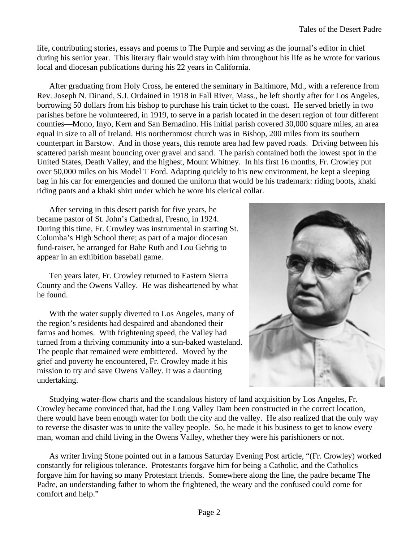life, contributing stories, essays and poems to The Purple and serving as the journal's editor in chief during his senior year. This literary flair would stay with him throughout his life as he wrote for various local and diocesan publications during his 22 years in California.

After graduating from Holy Cross, he entered the seminary in Baltimore, Md., with a reference from Rev. Joseph N. Dinand, S.J. Ordained in 1918 in Fall River, Mass., he left shortly after for Los Angeles, borrowing 50 dollars from his bishop to purchase his train ticket to the coast. He served briefly in two parishes before he volunteered, in 1919, to serve in a parish located in the desert region of four different counties—Mono, Inyo, Kern and San Bernadino. His initial parish covered 30,000 square miles, an area equal in size to all of Ireland. His northernmost church was in Bishop, 200 miles from its southern counterpart in Barstow. And in those years, this remote area had few paved roads. Driving between his scattered parish meant bouncing over gravel and sand. The parish contained both the lowest spot in the United States, Death Valley, and the highest, Mount Whitney. In his first 16 months, Fr. Crowley put over 50,000 miles on his Model T Ford. Adapting quickly to his new environment, he kept a sleeping bag in his car for emergencies and donned the uniform that would be his trademark: riding boots, khaki riding pants and a khaki shirt under which he wore his clerical collar.

After serving in this desert parish for five years, he became pastor of St. John's Cathedral, Fresno, in 1924. During this time, Fr. Crowley was instrumental in starting St. Columba's High School there; as part of a major diocesan fund-raiser, he arranged for Babe Ruth and Lou Gehrig to appear in an exhibition baseball game.

Ten years later, Fr. Crowley returned to Eastern Sierra County and the Owens Valley. He was disheartened by what he found.

With the water supply diverted to Los Angeles, many of the region's residents had despaired and abandoned their farms and homes. With frightening speed, the Valley had turned from a thriving community into a sun-baked wasteland. The people that remained were embittered. Moved by the grief and poverty he encountered, Fr. Crowley made it his mission to try and save Owens Valley. It was a daunting undertaking.



Studying water-flow charts and the scandalous history of land acquisition by Los Angeles, Fr. Crowley became convinced that, had the Long Valley Dam been constructed in the correct location, there would have been enough water for both the city and the valley. He also realized that the only way to reverse the disaster was to unite the valley people. So, he made it his business to get to know every man, woman and child living in the Owens Valley, whether they were his parishioners or not.

As writer Irving Stone pointed out in a famous Saturday Evening Post article, "(Fr. Crowley) worked constantly for religious tolerance. Protestants forgave him for being a Catholic, and the Catholics forgave him for having so many Protestant friends. Somewhere along the line, the padre became The Padre, an understanding father to whom the frightened, the weary and the confused could come for comfort and help."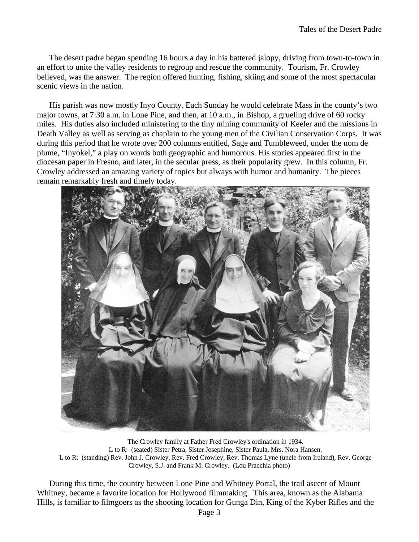The desert padre began spending 16 hours a day in his battered jalopy, driving from town-to-town in an effort to unite the valley residents to regroup and rescue the community. Tourism, Fr. Crowley believed, was the answer. The region offered hunting, fishing, skiing and some of the most spectacular scenic views in the nation.

His parish was now mostly Inyo County. Each Sunday he would celebrate Mass in the county's two major towns, at 7:30 a.m. in Lone Pine, and then, at 10 a.m., in Bishop, a grueling drive of 60 rocky miles. His duties also included ministering to the tiny mining community of Keeler and the missions in Death Valley as well as serving as chaplain to the young men of the Civilian Conservation Corps. It was during this period that he wrote over 200 columns entitled, Sage and Tumbleweed, under the nom de plume, "Inyokel," a play on words both geographic and humorous. His stories appeared first in the diocesan paper in Fresno, and later, in the secular press, as their popularity grew. In this column, Fr. Crowley addressed an amazing variety of topics but always with humor and humanity. The pieces remain remarkably fresh and timely today.



The Crowley family at Father Fred Crowley's ordination in 1934. L to R: (seated) Sister Petra, Sister Josephine, Sister Paula, Mrs. Nora Hansen. L to R: (standing) Rev. John J. Crowley, Rev. Fred Crowley, Rev. Thomas Lyne (uncle from Ireland), Rev. George Crowley, S.J. and Frank M. Crowley. (Lou Pracchia photo)

During this time, the country between Lone Pine and Whitney Portal, the trail ascent of Mount Whitney, became a favorite location for Hollywood filmmaking. This area, known as the Alabama Hills, is familiar to filmgoers as the shooting location for Gunga Din, King of the Kyber Rifles and the